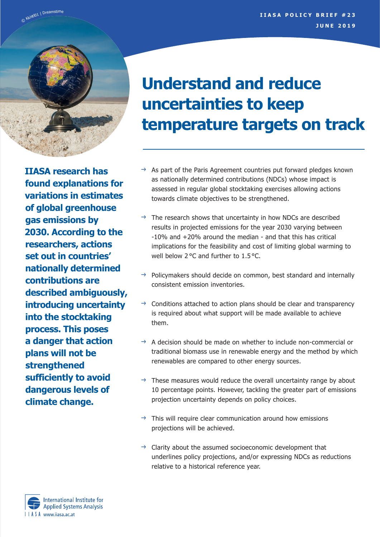

**IIASA research has found explanations for variations in estimates of global greenhouse gas emissions by 2030. According to the researchers, actions set out in countries' nationally determined contributions are described ambiguously, introducing uncertainty into the stocktaking process. This poses a danger that action plans will not be strengthened sufficiently to avoid dangerous levels of climate change.**

# **Understand and reduce uncertainties to keep temperature targets on track**

- As part of the Paris Agreement countries put forward pledges known as nationally determined contributions (NDCs) whose impact is assessed in regular global stocktaking exercises allowing actions towards climate objectives to be strengthened.
- $\rightarrow$  The research shows that uncertainty in how NDCs are described results in projected emissions for the year 2030 varying between -10% and +20% around the median - and that this has critical implications for the feasibility and cost of limiting global warming to well below 2 °C and further to 1.5 °C.
- $\rightarrow$  Policymakers should decide on common, best standard and internally consistent emission inventories.
- $\rightarrow$  Conditions attached to action plans should be clear and transparency is required about what support will be made available to achieve them.
- $\rightarrow$  A decision should be made on whether to include non-commercial or traditional biomass use in renewable energy and the method by which renewables are compared to other energy sources.
- $\rightarrow$  These measures would reduce the overall uncertainty range by about 10 percentage points. However, tackling the greater part of emissions projection uncertainty depends on policy choices.
- $\rightarrow$  This will require clear communication around how emissions projections will be achieved.
- $\rightarrow$  Clarity about the assumed socioeconomic development that underlines policy projections, and/or expressing NDCs as reductions relative to a historical reference year.

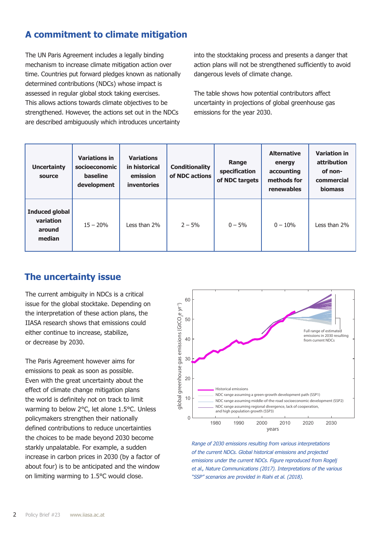# **A commitment to climate mitigation**

The UN Paris Agreement includes a legally binding mechanism to increase climate mitigation action over time. Countries put forward pledges known as nationally determined contributions (NDCs) whose impact is assessed in regular global stock taking exercises. This allows actions towards climate objectives to be strengthened. However, the actions set out in the NDCs are described ambiguously which introduces uncertainty into the stocktaking process and presents a danger that action plans will not be strengthened sufficiently to avoid dangerous levels of climate change.

The table shows how potential contributors affect uncertainty in projections of global greenhouse gas emissions for the year 2030.

| <b>Uncertainty</b><br>source                           | <b>Variations in</b><br>socioeconomic<br>baseline<br>development | <b>Variations</b><br>in historical<br>emission<br><b>inventories</b> | <b>Conditionality</b><br>of NDC actions | Range<br>specification<br>of NDC targets | <b>Alternative</b><br>energy<br>accounting<br>methods for<br>renewables | <b>Variation in</b><br>attribution<br>of non-<br>commercial<br><b>biomass</b> |
|--------------------------------------------------------|------------------------------------------------------------------|----------------------------------------------------------------------|-----------------------------------------|------------------------------------------|-------------------------------------------------------------------------|-------------------------------------------------------------------------------|
| <b>Induced global</b><br>variation<br>around<br>median | $15 - 20%$                                                       | Less than 2%                                                         | $2 - 5%$                                | $0 - 5%$                                 | $0 - 10%$                                                               | Less than 2%                                                                  |

## **The uncertainty issue**

The current ambiguity in NDCs is a critical issue for the global stocktake. Depending on the interpretation of these action plans, the IIASA research shows that emissions could either continue to increase, stabilize, or decrease by 2030.

The Paris Agreement however aims for emissions to peak as soon as possible. Even with the great uncertainty about the effect of climate change mitigation plans the world is definitely not on track to limit warming to below 2°C, let alone 1.5°C. Unless policymakers strengthen their nationally defined contributions to reduce uncertainties the choices to be made beyond 2030 become starkly unpalatable. For example, a sudden increase in carbon prices in 2030 (by a factor of about four) is to be anticipated and the window on limiting warming to 1.5°C would close.



*Range of 2030 emissions resulting from various interpretations of the current NDCs. Global historical emissions and projected emissions under the current NDCs. Figure reproduced from Rogelj et al., Nature Communications (2017). Interpretations of the various "SSP" scenarios are provided in Riahi et al. (2018).*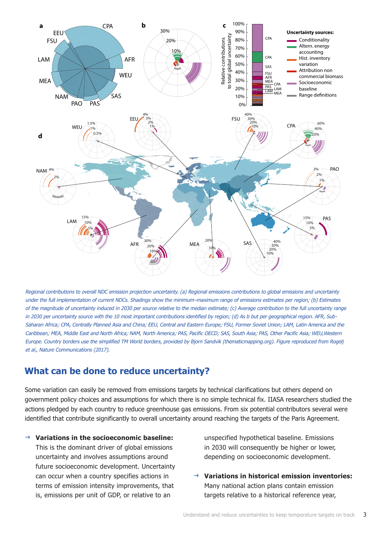

*Regional contributions to overall NDC emission projection uncertainty. (a) Regional emissions contributions to global emissions and uncertainty*  under the full implementation of current NDCs. Shadings show the minimum–maximum range of emissions estimates per region; (b) Estimates *of the magnitude of uncertainty induced in 2030 per source relative to the median estimate; (c) Average contribution to the full uncertainty range in 2030 per uncertainty source with the 10 most important contributions identified by region; (d) As b but per geographical region. AFR, Sub-Saharan Africa; CPA, Centrally Planned Asia and China; EEU, Central and Eastern Europe; FSU, Former Soviet Union; LAM, Latin America and the Caribbean; MEA, Middle East and North Africa; NAM, North America; PAS, Pacific OECD; SAS, South Asia; PAS, Other Pacific Asia; WEU,Western Europe. Country borders use the simplified TM World borders, provided by Bjorn Sandvik (thematicmapping.org). Figure reproduced from Rogelj et al., Nature Communications (2017).*

## **What can be done to reduce uncertainty?**

Some variation can easily be removed from emissions targets by technical clarifications but others depend on government policy choices and assumptions for which there is no simple technical fix. IIASA researchers studied the actions pledged by each country to reduce greenhouse gas emissions. From six potential contributors several were identified that contribute significantly to overall uncertainty around reaching the targets of the Paris Agreement.

J **Variations in the socioeconomic baseline:** This is the dominant driver of global emissions uncertainty and involves assumptions around future socioeconomic development. Uncertainty can occur when a country specifies actions in terms of emission intensity improvements, that is, emissions per unit of GDP, or relative to an

unspecified hypothetical baseline. Emissions in 2030 will consequently be higher or lower, depending on socioeconomic development.

**Variations in historical emission inventories:** Many national action plans contain emission targets relative to a historical reference year,